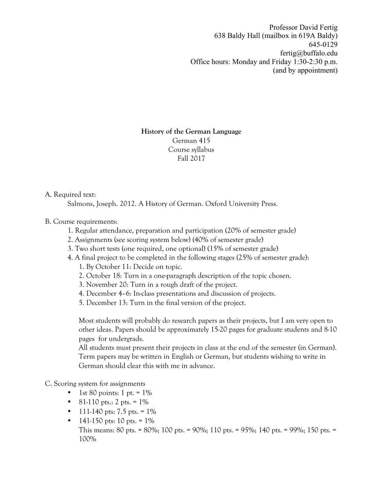Professor David Fertig 638 Baldy Hall (mailbox in 619A Baldy) 645-0129 fertig@buffalo.edu Office hours: Monday and Friday 1:30-2:30 p.m. (and by appointment)

## **History of the German Language** German 415 Course syllabus Fall 2017

## A. Required text:

Salmons, Joseph. 2012. A History of German. Oxford University Press.

## B. Course requirements:

- 1. Regular attendance, preparation and participation (20% of semester grade)
- 2. Assignments (see scoring system below) (40% of semester grade)
- 3. Two short tests (one required, one optional) (15% of semester grade)
- 4. A final project to be completed in the following stages (25% of semester grade):
	- 1. By October 11: Decide on topic.
	- 2. October 18: Turn in a one-paragraph description of the topic chosen.
	- 3. November 20: Turn in a rough draft of the project.
	- 4. December 4–6: In-class presentations and discussion of projects.
	- 5. December 13: Turn in the final version of the project.

Most students will probably do research papers as their projects, but I am very open to other ideas. Papers should be approximately 15-20 pages for graduate students and 8-10 pages for undergrads.

All students must present their projects in class at the end of the semester (in German). Term papers may be written in English or German, but students wishing to write in German should clear this with me in advance.

C. Scoring system for assignments

- 1st 80 points: 1 pt. =  $1\%$
- 81-110 pts.: 2 pts.  $= 1\%$
- 111-140 pts: 7.5 pts. =  $1\%$
- 141-150 pts: 10 pts. =  $1\%$ This means: 80 pts. = 80%; 100 pts. = 90%; 110 pts. = 95%; 140 pts. = 99%; 150 pts. = 100%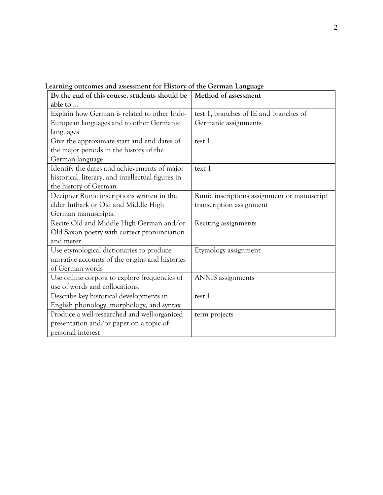| By the end of this course, students should be     | Method of assessment                        |
|---------------------------------------------------|---------------------------------------------|
| able to                                           |                                             |
| Explain how German is related to other Indo-      | test 1, branches of IE and branches of      |
| European languages and to other Germanic          | Germanic assignments                        |
| languages                                         |                                             |
| Give the approximate start and end dates of       | test 1                                      |
| the major periods in the history of the           |                                             |
| German language                                   |                                             |
| Identify the dates and achievements of major      | text 1                                      |
| historical, literary, and intellectual figures in |                                             |
| the history of German                             |                                             |
| Decipher Runic inscriptions written in the        | Runic inscriptions assignment or manuscript |
| elder futhark or Old and Middle High              | transcription assignment                    |
| German manuscripts.                               |                                             |
| Recite Old and Middle High German and/or          | Reciting assignments                        |
| Old Saxon poetry with correct pronunciation       |                                             |
| and meter                                         |                                             |
| Use etymological dictionaries to produce          | Etymology assignment                        |
| narrative accounts of the origins and histories   |                                             |
| of German words                                   |                                             |
| Use online corpora to explore frequencies of      | ANNIS assignments                           |
| use of words and collocations.                    |                                             |
| Describe key historical developments in           | test 1                                      |
| English phonology, morphology, and syntax         |                                             |
| Produce a well-researched and well-organized      | term projects                               |
| presentation and/or paper on a topic of           |                                             |
| personal interest                                 |                                             |